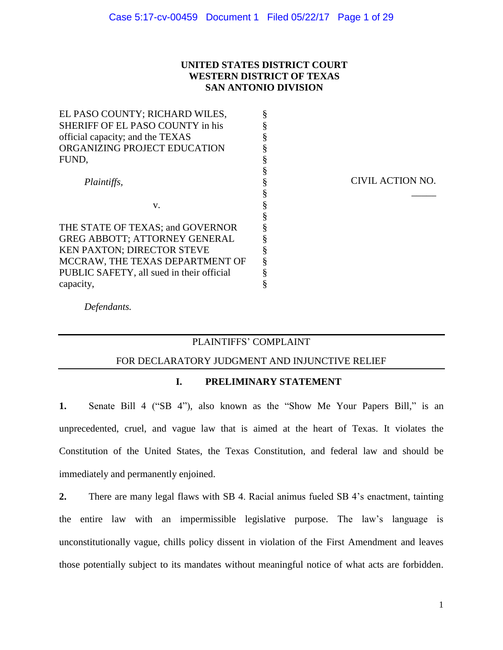# **UNITED STATES DISTRICT COURT WESTERN DISTRICT OF TEXAS SAN ANTONIO DIVISION**

| EL PASO COUNTY; RICHARD WILES,            | § |
|-------------------------------------------|---|
| SHERIFF OF EL PASO COUNTY in his          | Ş |
| official capacity; and the TEXAS          | § |
| ORGANIZING PROJECT EDUCATION              | § |
| FUND,                                     | § |
|                                           | § |
| Plaintiffs,                               | § |
|                                           | § |
| v.                                        | § |
|                                           | § |
| THE STATE OF TEXAS; and GOVERNOR          | § |
| <b>GREG ABBOTT; ATTORNEY GENERAL</b>      | § |
| <b>KEN PAXTON; DIRECTOR STEVE</b>         | § |
| MCCRAW, THE TEXAS DEPARTMENT OF           | § |
| PUBLIC SAFETY, all sued in their official | § |
| capacity,                                 | Ş |

CIVIL ACTION NO.

\_\_\_\_\_

*Defendants.*

# PLAINTIFFS' COMPLAINT

### FOR DECLARATORY JUDGMENT AND INJUNCTIVE RELIEF

### **I. PRELIMINARY STATEMENT**

**1.** Senate Bill 4 ("SB 4"), also known as the "Show Me Your Papers Bill," is an unprecedented, cruel, and vague law that is aimed at the heart of Texas. It violates the Constitution of the United States, the Texas Constitution, and federal law and should be immediately and permanently enjoined.

**2.** There are many legal flaws with SB 4. Racial animus fueled SB 4's enactment, tainting the entire law with an impermissible legislative purpose. The law's language is unconstitutionally vague, chills policy dissent in violation of the First Amendment and leaves those potentially subject to its mandates without meaningful notice of what acts are forbidden.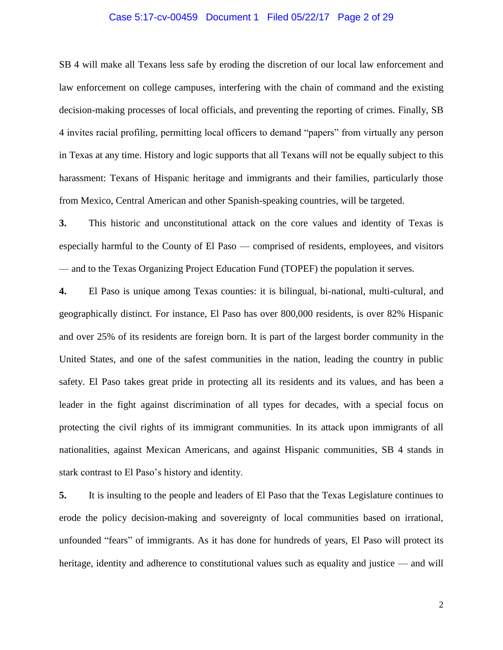### Case 5:17-cv-00459 Document 1 Filed 05/22/17 Page 2 of 29

SB 4 will make all Texans less safe by eroding the discretion of our local law enforcement and law enforcement on college campuses, interfering with the chain of command and the existing decision-making processes of local officials, and preventing the reporting of crimes. Finally, SB 4 invites racial profiling, permitting local officers to demand "papers" from virtually any person in Texas at any time. History and logic supports that all Texans will not be equally subject to this harassment: Texans of Hispanic heritage and immigrants and their families, particularly those from Mexico, Central American and other Spanish-speaking countries, will be targeted.

**3.** This historic and unconstitutional attack on the core values and identity of Texas is especially harmful to the County of El Paso — comprised of residents, employees, and visitors — and to the Texas Organizing Project Education Fund (TOPEF) the population it serves.

**4.** El Paso is unique among Texas counties: it is bilingual, bi-national, multi-cultural, and geographically distinct. For instance, El Paso has over 800,000 residents, is over 82% Hispanic and over 25% of its residents are foreign born. It is part of the largest border community in the United States, and one of the safest communities in the nation, leading the country in public safety. El Paso takes great pride in protecting all its residents and its values, and has been a leader in the fight against discrimination of all types for decades, with a special focus on protecting the civil rights of its immigrant communities. In its attack upon immigrants of all nationalities, against Mexican Americans, and against Hispanic communities, SB 4 stands in stark contrast to El Paso's history and identity.

**5.** It is insulting to the people and leaders of El Paso that the Texas Legislature continues to erode the policy decision-making and sovereignty of local communities based on irrational, unfounded "fears" of immigrants. As it has done for hundreds of years, El Paso will protect its heritage, identity and adherence to constitutional values such as equality and justice — and will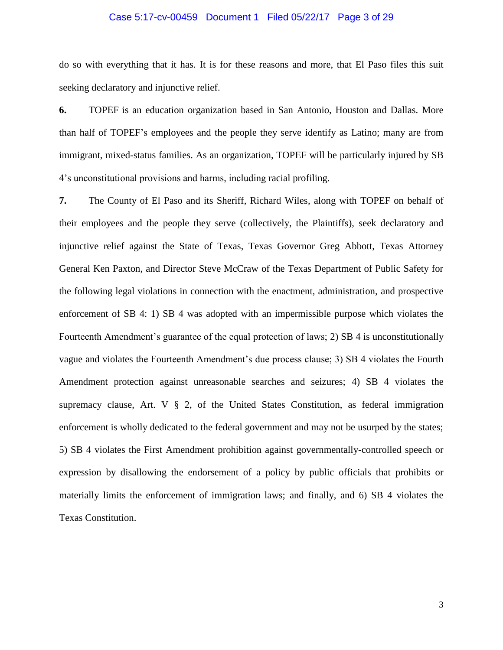### Case 5:17-cv-00459 Document 1 Filed 05/22/17 Page 3 of 29

do so with everything that it has. It is for these reasons and more, that El Paso files this suit seeking declaratory and injunctive relief.

**6.** TOPEF is an education organization based in San Antonio, Houston and Dallas. More than half of TOPEF's employees and the people they serve identify as Latino; many are from immigrant, mixed-status families. As an organization, TOPEF will be particularly injured by SB 4's unconstitutional provisions and harms, including racial profiling.

**7.** The County of El Paso and its Sheriff, Richard Wiles, along with TOPEF on behalf of their employees and the people they serve (collectively, the Plaintiffs), seek declaratory and injunctive relief against the State of Texas, Texas Governor Greg Abbott, Texas Attorney General Ken Paxton, and Director Steve McCraw of the Texas Department of Public Safety for the following legal violations in connection with the enactment, administration, and prospective enforcement of SB 4: 1) SB 4 was adopted with an impermissible purpose which violates the Fourteenth Amendment's guarantee of the equal protection of laws; 2) SB 4 is unconstitutionally vague and violates the Fourteenth Amendment's due process clause; 3) SB 4 violates the Fourth Amendment protection against unreasonable searches and seizures; 4) SB 4 violates the supremacy clause, Art. V  $\S$  2, of the United States Constitution, as federal immigration enforcement is wholly dedicated to the federal government and may not be usurped by the states; 5) SB 4 violates the First Amendment prohibition against governmentally-controlled speech or expression by disallowing the endorsement of a policy by public officials that prohibits or materially limits the enforcement of immigration laws; and finally, and 6) SB 4 violates the Texas Constitution.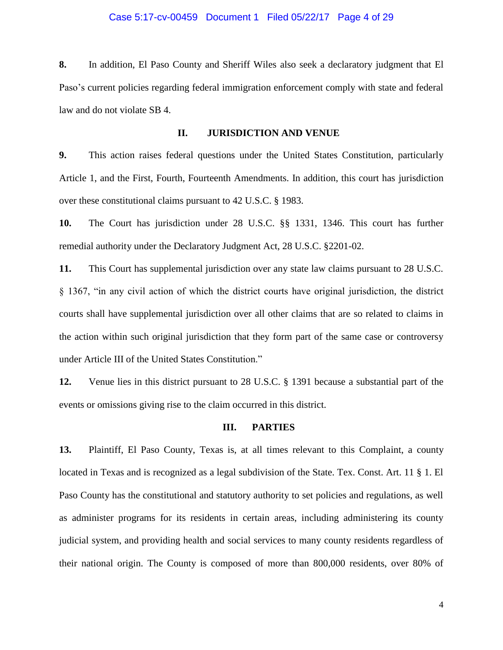### Case 5:17-cv-00459 Document 1 Filed 05/22/17 Page 4 of 29

**8.** In addition, El Paso County and Sheriff Wiles also seek a declaratory judgment that El Paso's current policies regarding federal immigration enforcement comply with state and federal law and do not violate SB 4.

## **II. JURISDICTION AND VENUE**

**9.** This action raises federal questions under the United States Constitution, particularly Article 1, and the First, Fourth, Fourteenth Amendments. In addition, this court has jurisdiction over these constitutional claims pursuant to 42 U.S.C. § 1983.

**10.** The Court has jurisdiction under 28 U.S.C. §§ 1331, 1346. This court has further remedial authority under the Declaratory Judgment Act, 28 U.S.C. §2201-02.

**11.** This Court has supplemental jurisdiction over any state law claims pursuant to 28 U.S.C. § 1367, "in any civil action of which the district courts have original jurisdiction, the district courts shall have supplemental jurisdiction over all other claims that are so related to claims in the action within such original jurisdiction that they form part of the same case or controversy under Article III of the United States Constitution."

**12.** Venue lies in this district pursuant to 28 U.S.C. § 1391 because a substantial part of the events or omissions giving rise to the claim occurred in this district.

#### **III. PARTIES**

**13.** Plaintiff, El Paso County, Texas is, at all times relevant to this Complaint, a county located in Texas and is recognized as a legal subdivision of the State. Tex. Const. Art. 11 § 1. El Paso County has the constitutional and statutory authority to set policies and regulations, as well as administer programs for its residents in certain areas, including administering its county judicial system, and providing health and social services to many county residents regardless of their national origin. The County is composed of more than 800,000 residents, over 80% of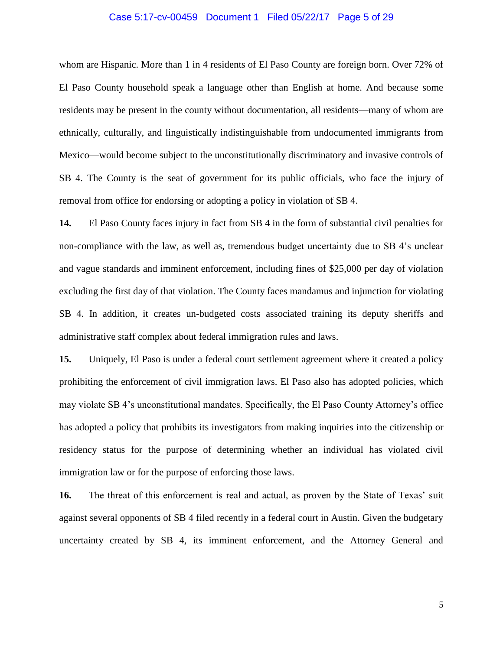### Case 5:17-cv-00459 Document 1 Filed 05/22/17 Page 5 of 29

whom are Hispanic. More than 1 in 4 residents of El Paso County are foreign born. Over 72% of El Paso County household speak a language other than English at home. And because some residents may be present in the county without documentation, all residents—many of whom are ethnically, culturally, and linguistically indistinguishable from undocumented immigrants from Mexico—would become subject to the unconstitutionally discriminatory and invasive controls of SB 4. The County is the seat of government for its public officials, who face the injury of removal from office for endorsing or adopting a policy in violation of SB 4.

**14.** El Paso County faces injury in fact from SB 4 in the form of substantial civil penalties for non-compliance with the law, as well as, tremendous budget uncertainty due to SB 4's unclear and vague standards and imminent enforcement, including fines of \$25,000 per day of violation excluding the first day of that violation. The County faces mandamus and injunction for violating SB 4. In addition, it creates un-budgeted costs associated training its deputy sheriffs and administrative staff complex about federal immigration rules and laws.

**15.** Uniquely, El Paso is under a federal court settlement agreement where it created a policy prohibiting the enforcement of civil immigration laws. El Paso also has adopted policies, which may violate SB 4's unconstitutional mandates. Specifically, the El Paso County Attorney's office has adopted a policy that prohibits its investigators from making inquiries into the citizenship or residency status for the purpose of determining whether an individual has violated civil immigration law or for the purpose of enforcing those laws.

**16.** The threat of this enforcement is real and actual, as proven by the State of Texas' suit against several opponents of SB 4 filed recently in a federal court in Austin. Given the budgetary uncertainty created by SB 4, its imminent enforcement, and the Attorney General and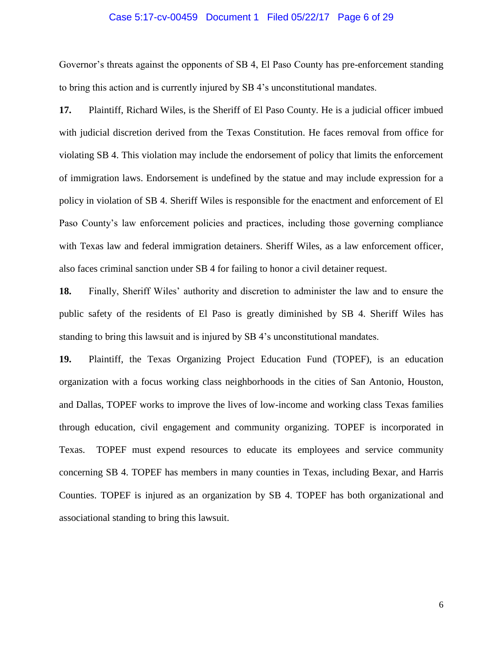### Case 5:17-cv-00459 Document 1 Filed 05/22/17 Page 6 of 29

Governor's threats against the opponents of SB 4, El Paso County has pre-enforcement standing to bring this action and is currently injured by SB 4's unconstitutional mandates.

**17.** Plaintiff, Richard Wiles, is the Sheriff of El Paso County. He is a judicial officer imbued with judicial discretion derived from the Texas Constitution. He faces removal from office for violating SB 4. This violation may include the endorsement of policy that limits the enforcement of immigration laws. Endorsement is undefined by the statue and may include expression for a policy in violation of SB 4. Sheriff Wiles is responsible for the enactment and enforcement of El Paso County's law enforcement policies and practices, including those governing compliance with Texas law and federal immigration detainers. Sheriff Wiles, as a law enforcement officer, also faces criminal sanction under SB 4 for failing to honor a civil detainer request.

**18.** Finally, Sheriff Wiles' authority and discretion to administer the law and to ensure the public safety of the residents of El Paso is greatly diminished by SB 4. Sheriff Wiles has standing to bring this lawsuit and is injured by SB 4's unconstitutional mandates.

**19.** Plaintiff, the Texas Organizing Project Education Fund (TOPEF), is an education organization with a focus working class neighborhoods in the cities of San Antonio, Houston, and Dallas, TOPEF works to improve the lives of low-income and working class Texas families through education, civil engagement and community organizing. TOPEF is incorporated in Texas. TOPEF must expend resources to educate its employees and service community concerning SB 4. TOPEF has members in many counties in Texas, including Bexar, and Harris Counties. TOPEF is injured as an organization by SB 4. TOPEF has both organizational and associational standing to bring this lawsuit.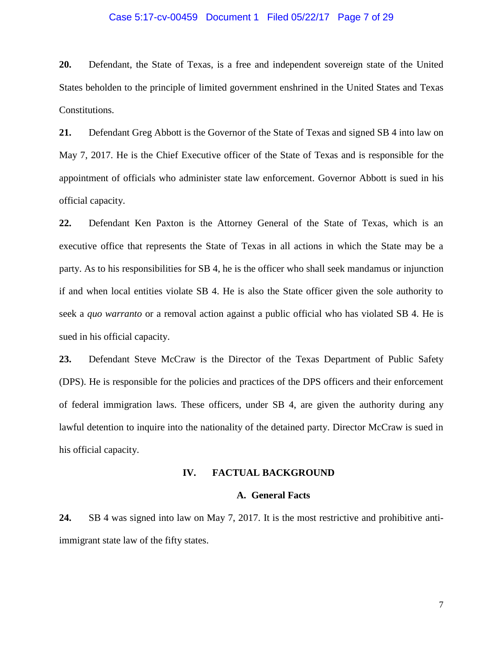### Case 5:17-cv-00459 Document 1 Filed 05/22/17 Page 7 of 29

**20.** Defendant, the State of Texas, is a free and independent sovereign state of the United States beholden to the principle of limited government enshrined in the United States and Texas Constitutions.

**21.** Defendant Greg Abbott is the Governor of the State of Texas and signed SB 4 into law on May 7, 2017. He is the Chief Executive officer of the State of Texas and is responsible for the appointment of officials who administer state law enforcement. Governor Abbott is sued in his official capacity.

**22.** Defendant Ken Paxton is the Attorney General of the State of Texas, which is an executive office that represents the State of Texas in all actions in which the State may be a party. As to his responsibilities for SB 4, he is the officer who shall seek mandamus or injunction if and when local entities violate SB 4. He is also the State officer given the sole authority to seek a *quo warranto* or a removal action against a public official who has violated SB 4. He is sued in his official capacity.

**23.** Defendant Steve McCraw is the Director of the Texas Department of Public Safety (DPS). He is responsible for the policies and practices of the DPS officers and their enforcement of federal immigration laws. These officers, under SB 4, are given the authority during any lawful detention to inquire into the nationality of the detained party. Director McCraw is sued in his official capacity.

#### **IV. FACTUAL BACKGROUND**

### **A. General Facts**

**24.** SB 4 was signed into law on May 7, 2017. It is the most restrictive and prohibitive antiimmigrant state law of the fifty states.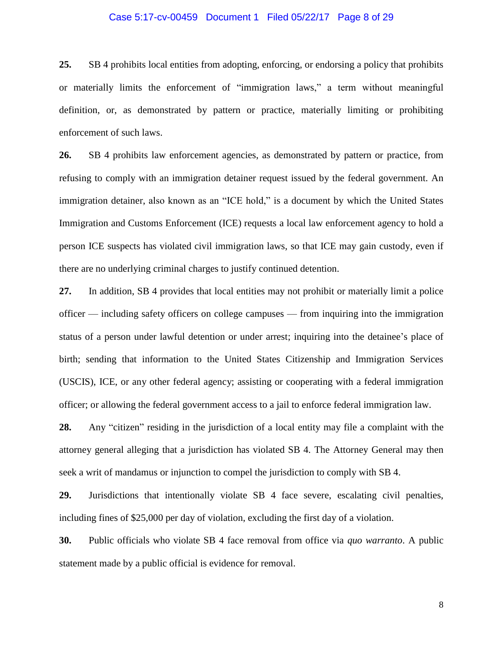### Case 5:17-cv-00459 Document 1 Filed 05/22/17 Page 8 of 29

**25.** SB 4 prohibits local entities from adopting, enforcing, or endorsing a policy that prohibits or materially limits the enforcement of "immigration laws," a term without meaningful definition, or, as demonstrated by pattern or practice, materially limiting or prohibiting enforcement of such laws.

**26.** SB 4 prohibits law enforcement agencies, as demonstrated by pattern or practice, from refusing to comply with an immigration detainer request issued by the federal government. An immigration detainer, also known as an "ICE hold," is a document by which the United States Immigration and Customs Enforcement (ICE) requests a local law enforcement agency to hold a person ICE suspects has violated civil immigration laws, so that ICE may gain custody, even if there are no underlying criminal charges to justify continued detention.

**27.** In addition, SB 4 provides that local entities may not prohibit or materially limit a police officer — including safety officers on college campuses — from inquiring into the immigration status of a person under lawful detention or under arrest; inquiring into the detainee's place of birth; sending that information to the United States Citizenship and Immigration Services (USCIS), ICE, or any other federal agency; assisting or cooperating with a federal immigration officer; or allowing the federal government access to a jail to enforce federal immigration law.

**28.** Any "citizen" residing in the jurisdiction of a local entity may file a complaint with the attorney general alleging that a jurisdiction has violated SB 4. The Attorney General may then seek a writ of mandamus or injunction to compel the jurisdiction to comply with SB 4.

**29.** Jurisdictions that intentionally violate SB 4 face severe, escalating civil penalties, including fines of \$25,000 per day of violation, excluding the first day of a violation.

**30.** Public officials who violate SB 4 face removal from office via *quo warranto*. A public statement made by a public official is evidence for removal.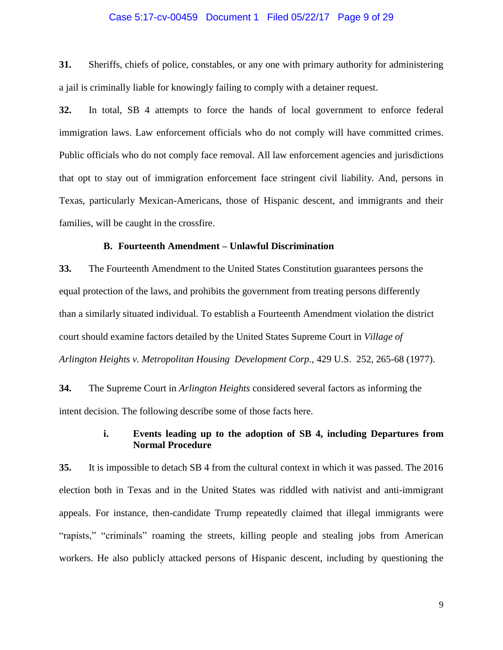### Case 5:17-cv-00459 Document 1 Filed 05/22/17 Page 9 of 29

**31.** Sheriffs, chiefs of police, constables, or any one with primary authority for administering a jail is criminally liable for knowingly failing to comply with a detainer request.

**32.** In total, SB 4 attempts to force the hands of local government to enforce federal immigration laws. Law enforcement officials who do not comply will have committed crimes. Public officials who do not comply face removal. All law enforcement agencies and jurisdictions that opt to stay out of immigration enforcement face stringent civil liability. And, persons in Texas, particularly Mexican-Americans, those of Hispanic descent, and immigrants and their families, will be caught in the crossfire.

#### **B. Fourteenth Amendment – Unlawful Discrimination**

**33.** The Fourteenth Amendment to the United States Constitution guarantees persons the equal protection of the laws, and prohibits the government from treating persons differently than a similarly situated individual. To establish a Fourteenth Amendment violation the district court should examine factors detailed by the United States Supreme Court in *Village of Arlington Heights v. Metropolitan Housing Development Corp.*, 429 U.S. 252, 265-68 (1977).

**34.** The Supreme Court in *Arlington Heights* considered several factors as informing the intent decision. The following describe some of those facts here.

# **i. Events leading up to the adoption of SB 4, including Departures from Normal Procedure**

**35.** It is impossible to detach SB 4 from the cultural context in which it was passed. The 2016 election both in Texas and in the United States was riddled with nativist and anti-immigrant appeals. For instance, then-candidate Trump repeatedly claimed that illegal immigrants were "rapists," "criminals" roaming the streets, killing people and stealing jobs from American workers. He also publicly attacked persons of Hispanic descent, including by questioning the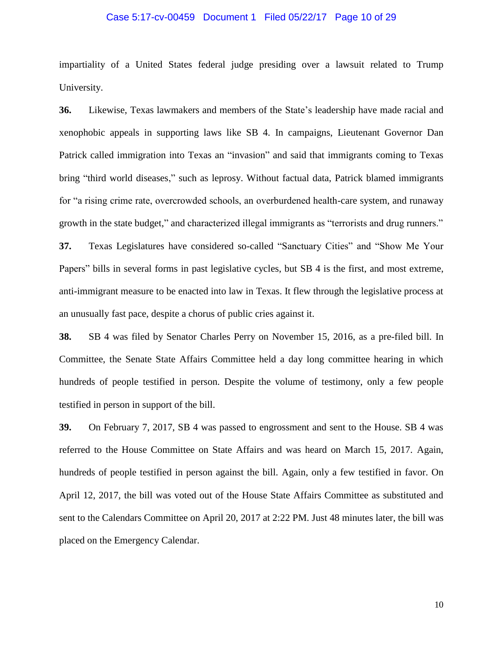### Case 5:17-cv-00459 Document 1 Filed 05/22/17 Page 10 of 29

impartiality of a United States federal judge presiding over a lawsuit related to Trump University.

**36.** Likewise, Texas lawmakers and members of the State's leadership have made racial and xenophobic appeals in supporting laws like SB 4. In campaigns, Lieutenant Governor Dan Patrick called immigration into Texas an "invasion" and said that immigrants coming to Texas bring "third world diseases," such as leprosy. Without factual data, Patrick blamed immigrants for "a rising crime rate, overcrowded schools, an overburdened health-care system, and runaway growth in the state budget," and characterized illegal immigrants as "terrorists and drug runners." **37.** Texas Legislatures have considered so-called "Sanctuary Cities" and "Show Me Your Papers" bills in several forms in past legislative cycles, but SB 4 is the first, and most extreme, anti-immigrant measure to be enacted into law in Texas. It flew through the legislative process at an unusually fast pace, despite a chorus of public cries against it.

**38.** SB 4 was filed by Senator Charles Perry on November 15, 2016, as a pre-filed bill. In Committee, the Senate State Affairs Committee held a day long committee hearing in which hundreds of people testified in person. Despite the volume of testimony, only a few people testified in person in support of the bill.

**39.** On February 7, 2017, SB 4 was passed to engrossment and sent to the House. SB 4 was referred to the House Committee on State Affairs and was heard on March 15, 2017. Again, hundreds of people testified in person against the bill. Again, only a few testified in favor. On April 12, 2017, the bill was voted out of the House State Affairs Committee as substituted and sent to the Calendars Committee on April 20, 2017 at 2:22 PM. Just 48 minutes later, the bill was placed on the Emergency Calendar.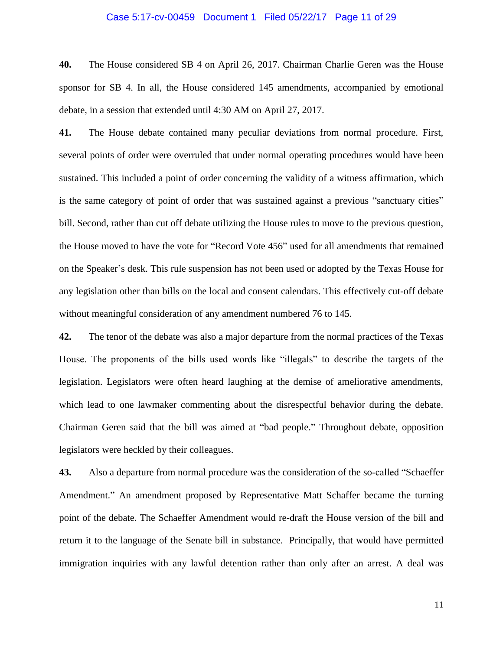### Case 5:17-cv-00459 Document 1 Filed 05/22/17 Page 11 of 29

**40.** The House considered SB 4 on April 26, 2017. Chairman Charlie Geren was the House sponsor for SB 4. In all, the House considered 145 amendments, accompanied by emotional debate, in a session that extended until 4:30 AM on April 27, 2017.

**41.** The House debate contained many peculiar deviations from normal procedure. First, several points of order were overruled that under normal operating procedures would have been sustained. This included a point of order concerning the validity of a witness affirmation, which is the same category of point of order that was sustained against a previous "sanctuary cities" bill. Second, rather than cut off debate utilizing the House rules to move to the previous question, the House moved to have the vote for "Record Vote 456" used for all amendments that remained on the Speaker's desk. This rule suspension has not been used or adopted by the Texas House for any legislation other than bills on the local and consent calendars. This effectively cut-off debate without meaningful consideration of any amendment numbered 76 to 145.

**42.** The tenor of the debate was also a major departure from the normal practices of the Texas House. The proponents of the bills used words like "illegals" to describe the targets of the legislation. Legislators were often heard laughing at the demise of ameliorative amendments, which lead to one lawmaker commenting about the disrespectful behavior during the debate. Chairman Geren said that the bill was aimed at "bad people." Throughout debate, opposition legislators were heckled by their colleagues.

**43.** Also a departure from normal procedure was the consideration of the so-called "Schaeffer Amendment." An amendment proposed by Representative Matt Schaffer became the turning point of the debate. The Schaeffer Amendment would re-draft the House version of the bill and return it to the language of the Senate bill in substance. Principally, that would have permitted immigration inquiries with any lawful detention rather than only after an arrest. A deal was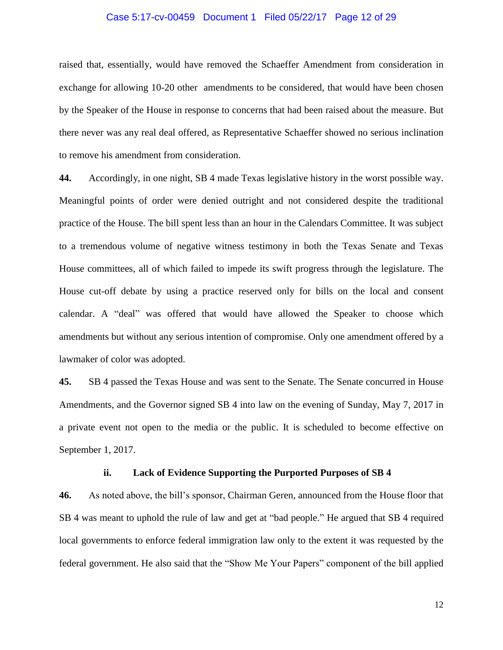### Case 5:17-cv-00459 Document 1 Filed 05/22/17 Page 12 of 29

raised that, essentially, would have removed the Schaeffer Amendment from consideration in exchange for allowing 10-20 other amendments to be considered, that would have been chosen by the Speaker of the House in response to concerns that had been raised about the measure. But there never was any real deal offered, as Representative Schaeffer showed no serious inclination to remove his amendment from consideration.

**44.** Accordingly, in one night, SB 4 made Texas legislative history in the worst possible way. Meaningful points of order were denied outright and not considered despite the traditional practice of the House. The bill spent less than an hour in the Calendars Committee. It was subject to a tremendous volume of negative witness testimony in both the Texas Senate and Texas House committees, all of which failed to impede its swift progress through the legislature. The House cut-off debate by using a practice reserved only for bills on the local and consent calendar. A "deal" was offered that would have allowed the Speaker to choose which amendments but without any serious intention of compromise. Only one amendment offered by a lawmaker of color was adopted.

**45.** SB 4 passed the Texas House and was sent to the Senate. The Senate concurred in House Amendments, and the Governor signed SB 4 into law on the evening of Sunday, May 7, 2017 in a private event not open to the media or the public. It is scheduled to become effective on September 1, 2017.

### **ii. Lack of Evidence Supporting the Purported Purposes of SB 4**

**46.** As noted above, the bill's sponsor, Chairman Geren, announced from the House floor that SB 4 was meant to uphold the rule of law and get at "bad people." He argued that SB 4 required local governments to enforce federal immigration law only to the extent it was requested by the federal government. He also said that the "Show Me Your Papers" component of the bill applied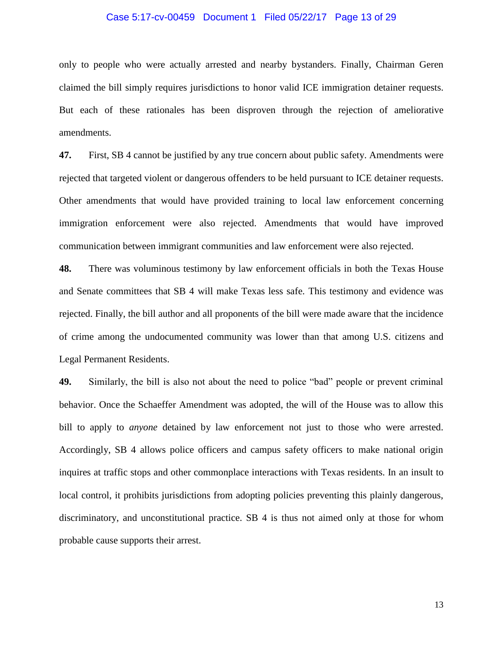### Case 5:17-cv-00459 Document 1 Filed 05/22/17 Page 13 of 29

only to people who were actually arrested and nearby bystanders. Finally, Chairman Geren claimed the bill simply requires jurisdictions to honor valid ICE immigration detainer requests. But each of these rationales has been disproven through the rejection of ameliorative amendments.

**47.** First, SB 4 cannot be justified by any true concern about public safety. Amendments were rejected that targeted violent or dangerous offenders to be held pursuant to ICE detainer requests. Other amendments that would have provided training to local law enforcement concerning immigration enforcement were also rejected. Amendments that would have improved communication between immigrant communities and law enforcement were also rejected.

**48.** There was voluminous testimony by law enforcement officials in both the Texas House and Senate committees that SB 4 will make Texas less safe. This testimony and evidence was rejected. Finally, the bill author and all proponents of the bill were made aware that the incidence of crime among the undocumented community was lower than that among U.S. citizens and Legal Permanent Residents.

**49.** Similarly, the bill is also not about the need to police "bad" people or prevent criminal behavior. Once the Schaeffer Amendment was adopted, the will of the House was to allow this bill to apply to *anyone* detained by law enforcement not just to those who were arrested. Accordingly, SB 4 allows police officers and campus safety officers to make national origin inquires at traffic stops and other commonplace interactions with Texas residents. In an insult to local control, it prohibits jurisdictions from adopting policies preventing this plainly dangerous, discriminatory, and unconstitutional practice. SB 4 is thus not aimed only at those for whom probable cause supports their arrest.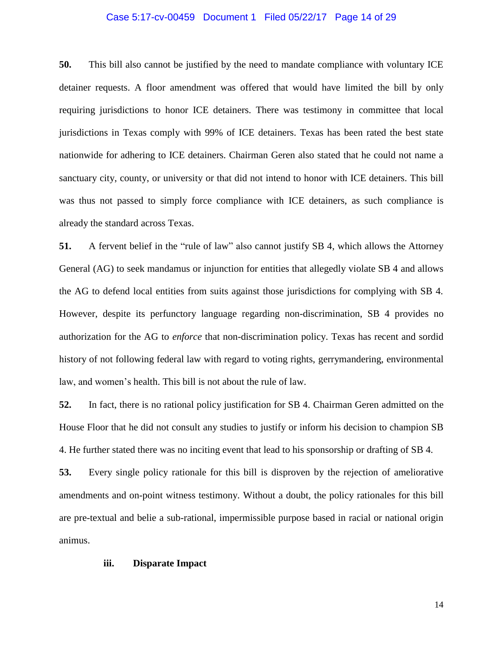### Case 5:17-cv-00459 Document 1 Filed 05/22/17 Page 14 of 29

**50.** This bill also cannot be justified by the need to mandate compliance with voluntary ICE detainer requests. A floor amendment was offered that would have limited the bill by only requiring jurisdictions to honor ICE detainers. There was testimony in committee that local jurisdictions in Texas comply with 99% of ICE detainers. Texas has been rated the best state nationwide for adhering to ICE detainers. Chairman Geren also stated that he could not name a sanctuary city, county, or university or that did not intend to honor with ICE detainers. This bill was thus not passed to simply force compliance with ICE detainers, as such compliance is already the standard across Texas.

**51.** A fervent belief in the "rule of law" also cannot justify SB 4, which allows the Attorney General (AG) to seek mandamus or injunction for entities that allegedly violate SB 4 and allows the AG to defend local entities from suits against those jurisdictions for complying with SB 4. However, despite its perfunctory language regarding non-discrimination, SB 4 provides no authorization for the AG to *enforce* that non-discrimination policy. Texas has recent and sordid history of not following federal law with regard to voting rights, gerrymandering, environmental law, and women's health. This bill is not about the rule of law.

**52.** In fact, there is no rational policy justification for SB 4. Chairman Geren admitted on the House Floor that he did not consult any studies to justify or inform his decision to champion SB 4. He further stated there was no inciting event that lead to his sponsorship or drafting of SB 4.

**53.** Every single policy rationale for this bill is disproven by the rejection of ameliorative amendments and on-point witness testimony. Without a doubt, the policy rationales for this bill are pre-textual and belie a sub-rational, impermissible purpose based in racial or national origin animus.

### **iii. Disparate Impact**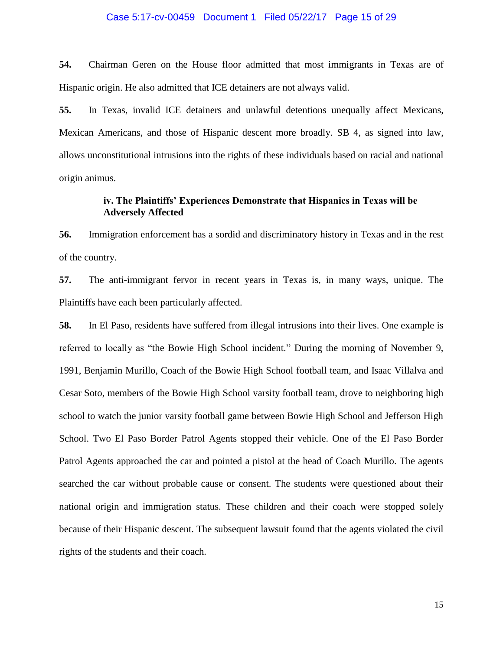### Case 5:17-cv-00459 Document 1 Filed 05/22/17 Page 15 of 29

**54.** Chairman Geren on the House floor admitted that most immigrants in Texas are of Hispanic origin. He also admitted that ICE detainers are not always valid.

**55.** In Texas, invalid ICE detainers and unlawful detentions unequally affect Mexicans, Mexican Americans, and those of Hispanic descent more broadly. SB 4, as signed into law, allows unconstitutional intrusions into the rights of these individuals based on racial and national origin animus.

## **iv. The Plaintiffs' Experiences Demonstrate that Hispanics in Texas will be Adversely Affected**

**56.** Immigration enforcement has a sordid and discriminatory history in Texas and in the rest of the country.

**57.** The anti-immigrant fervor in recent years in Texas is, in many ways, unique. The Plaintiffs have each been particularly affected.

**58.** In El Paso, residents have suffered from illegal intrusions into their lives. One example is referred to locally as "the Bowie High School incident." During the morning of November 9, 1991, Benjamin Murillo, Coach of the Bowie High School football team, and Isaac Villalva and Cesar Soto, members of the Bowie High School varsity football team, drove to neighboring high school to watch the junior varsity football game between Bowie High School and Jefferson High School. Two El Paso Border Patrol Agents stopped their vehicle. One of the El Paso Border Patrol Agents approached the car and pointed a pistol at the head of Coach Murillo. The agents searched the car without probable cause or consent. The students were questioned about their national origin and immigration status. These children and their coach were stopped solely because of their Hispanic descent. The subsequent lawsuit found that the agents violated the civil rights of the students and their coach.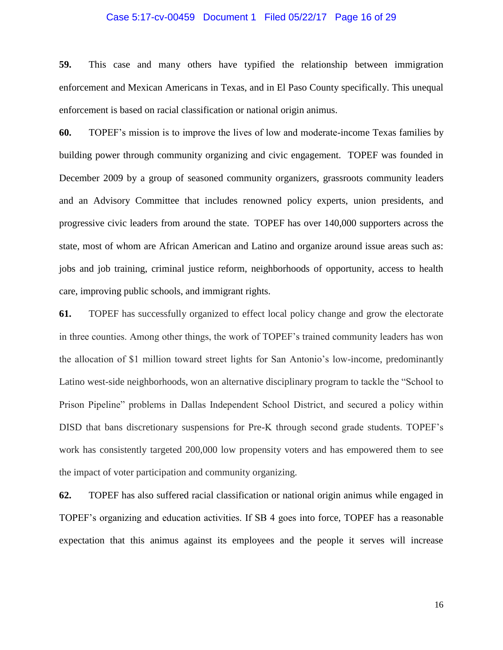### Case 5:17-cv-00459 Document 1 Filed 05/22/17 Page 16 of 29

**59.** This case and many others have typified the relationship between immigration enforcement and Mexican Americans in Texas, and in El Paso County specifically. This unequal enforcement is based on racial classification or national origin animus.

**60.** TOPEF's mission is to improve the lives of low and moderate-income Texas families by building power through community organizing and civic engagement. TOPEF was founded in December 2009 by a group of seasoned community organizers, grassroots community leaders and an Advisory Committee that includes renowned policy experts, union presidents, and progressive civic leaders from around the state. TOPEF has over 140,000 supporters across the state, most of whom are African American and Latino and organize around issue areas such as: jobs and job training, criminal justice reform, neighborhoods of opportunity, access to health care, improving public schools, and immigrant rights.

**61.** TOPEF has successfully organized to effect local policy change and grow the electorate in three counties. Among other things, the work of TOPEF's trained community leaders has won the allocation of \$1 million toward street lights for San Antonio's low-income, predominantly Latino west-side neighborhoods, won an alternative disciplinary program to tackle the "School to Prison Pipeline" problems in Dallas Independent School District, and secured a policy within DISD that bans discretionary suspensions for Pre-K through second grade students. TOPEF's work has consistently targeted 200,000 low propensity voters and has empowered them to see the impact of voter participation and community organizing.

**62.** TOPEF has also suffered racial classification or national origin animus while engaged in TOPEF's organizing and education activities. If SB 4 goes into force, TOPEF has a reasonable expectation that this animus against its employees and the people it serves will increase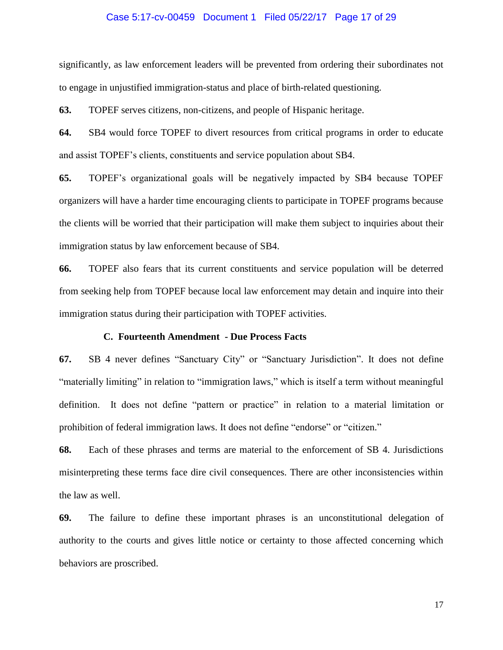### Case 5:17-cv-00459 Document 1 Filed 05/22/17 Page 17 of 29

significantly, as law enforcement leaders will be prevented from ordering their subordinates not to engage in unjustified immigration-status and place of birth-related questioning.

**63.** TOPEF serves citizens, non-citizens, and people of Hispanic heritage.

**64.** SB4 would force TOPEF to divert resources from critical programs in order to educate and assist TOPEF's clients, constituents and service population about SB4.

**65.** TOPEF's organizational goals will be negatively impacted by SB4 because TOPEF organizers will have a harder time encouraging clients to participate in TOPEF programs because the clients will be worried that their participation will make them subject to inquiries about their immigration status by law enforcement because of SB4.

**66.** TOPEF also fears that its current constituents and service population will be deterred from seeking help from TOPEF because local law enforcement may detain and inquire into their immigration status during their participation with TOPEF activities.

#### **C. Fourteenth Amendment - Due Process Facts**

**67.** SB 4 never defines "Sanctuary City" or "Sanctuary Jurisdiction". It does not define "materially limiting" in relation to "immigration laws," which is itself a term without meaningful definition. It does not define "pattern or practice" in relation to a material limitation or prohibition of federal immigration laws. It does not define "endorse" or "citizen."

**68.** Each of these phrases and terms are material to the enforcement of SB 4. Jurisdictions misinterpreting these terms face dire civil consequences. There are other inconsistencies within the law as well.

**69.** The failure to define these important phrases is an unconstitutional delegation of authority to the courts and gives little notice or certainty to those affected concerning which behaviors are proscribed.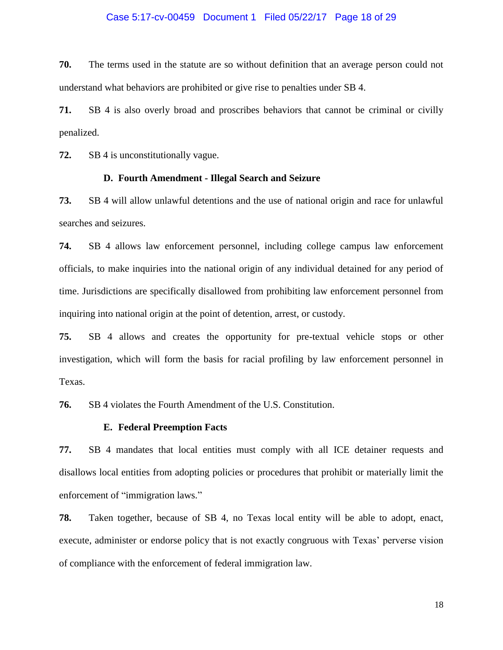### Case 5:17-cv-00459 Document 1 Filed 05/22/17 Page 18 of 29

**70.** The terms used in the statute are so without definition that an average person could not understand what behaviors are prohibited or give rise to penalties under SB 4.

**71.** SB 4 is also overly broad and proscribes behaviors that cannot be criminal or civilly penalized.

**72.** SB 4 is unconstitutionally vague.

# **D. Fourth Amendment - Illegal Search and Seizure**

**73.** SB 4 will allow unlawful detentions and the use of national origin and race for unlawful searches and seizures.

**74.** SB 4 allows law enforcement personnel, including college campus law enforcement officials, to make inquiries into the national origin of any individual detained for any period of time. Jurisdictions are specifically disallowed from prohibiting law enforcement personnel from inquiring into national origin at the point of detention, arrest, or custody.

**75.** SB 4 allows and creates the opportunity for pre-textual vehicle stops or other investigation, which will form the basis for racial profiling by law enforcement personnel in Texas.

**76.** SB 4 violates the Fourth Amendment of the U.S. Constitution.

### **E. Federal Preemption Facts**

**77.** SB 4 mandates that local entities must comply with all ICE detainer requests and disallows local entities from adopting policies or procedures that prohibit or materially limit the enforcement of "immigration laws."

**78.** Taken together, because of SB 4, no Texas local entity will be able to adopt, enact, execute, administer or endorse policy that is not exactly congruous with Texas' perverse vision of compliance with the enforcement of federal immigration law.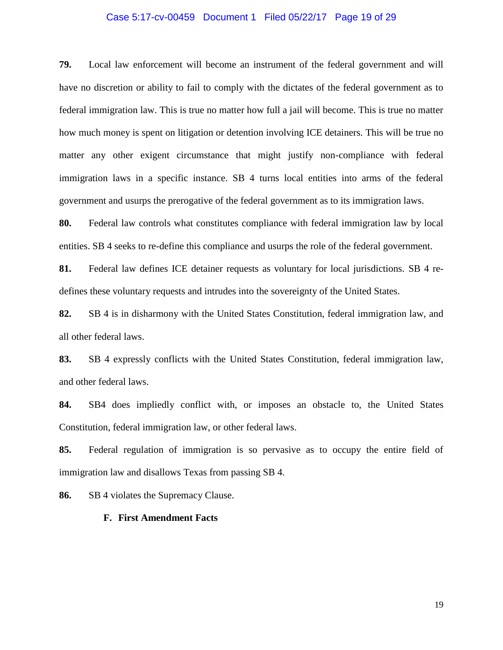### Case 5:17-cv-00459 Document 1 Filed 05/22/17 Page 19 of 29

**79.** Local law enforcement will become an instrument of the federal government and will have no discretion or ability to fail to comply with the dictates of the federal government as to federal immigration law. This is true no matter how full a jail will become. This is true no matter how much money is spent on litigation or detention involving ICE detainers. This will be true no matter any other exigent circumstance that might justify non-compliance with federal immigration laws in a specific instance. SB 4 turns local entities into arms of the federal government and usurps the prerogative of the federal government as to its immigration laws.

**80.** Federal law controls what constitutes compliance with federal immigration law by local entities. SB 4 seeks to re-define this compliance and usurps the role of the federal government.

**81.** Federal law defines ICE detainer requests as voluntary for local jurisdictions. SB 4 redefines these voluntary requests and intrudes into the sovereignty of the United States.

**82.** SB 4 is in disharmony with the United States Constitution, federal immigration law, and all other federal laws.

**83.** SB 4 expressly conflicts with the United States Constitution, federal immigration law, and other federal laws.

**84.** SB4 does impliedly conflict with, or imposes an obstacle to, the United States Constitution, federal immigration law, or other federal laws.

**85.** Federal regulation of immigration is so pervasive as to occupy the entire field of immigration law and disallows Texas from passing SB 4.

**86.** SB 4 violates the Supremacy Clause.

#### **F. First Amendment Facts**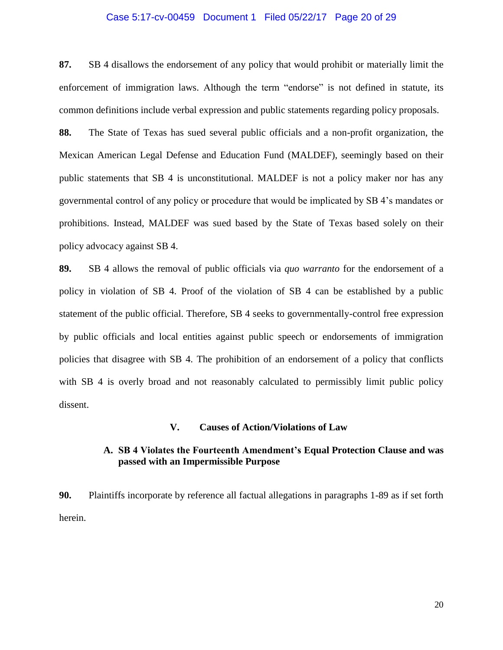### Case 5:17-cv-00459 Document 1 Filed 05/22/17 Page 20 of 29

**87.** SB 4 disallows the endorsement of any policy that would prohibit or materially limit the enforcement of immigration laws. Although the term "endorse" is not defined in statute, its common definitions include verbal expression and public statements regarding policy proposals.

**88.** The State of Texas has sued several public officials and a non-profit organization, the Mexican American Legal Defense and Education Fund (MALDEF), seemingly based on their public statements that SB 4 is unconstitutional. MALDEF is not a policy maker nor has any governmental control of any policy or procedure that would be implicated by SB 4's mandates or prohibitions. Instead, MALDEF was sued based by the State of Texas based solely on their policy advocacy against SB 4.

**89.** SB 4 allows the removal of public officials via *quo warranto* for the endorsement of a policy in violation of SB 4. Proof of the violation of SB 4 can be established by a public statement of the public official. Therefore, SB 4 seeks to governmentally-control free expression by public officials and local entities against public speech or endorsements of immigration policies that disagree with SB 4. The prohibition of an endorsement of a policy that conflicts with SB 4 is overly broad and not reasonably calculated to permissibly limit public policy dissent.

#### **V. Causes of Action/Violations of Law**

# **A. SB 4 Violates the Fourteenth Amendment's Equal Protection Clause and was passed with an Impermissible Purpose**

**90.** Plaintiffs incorporate by reference all factual allegations in paragraphs 1-89 as if set forth herein.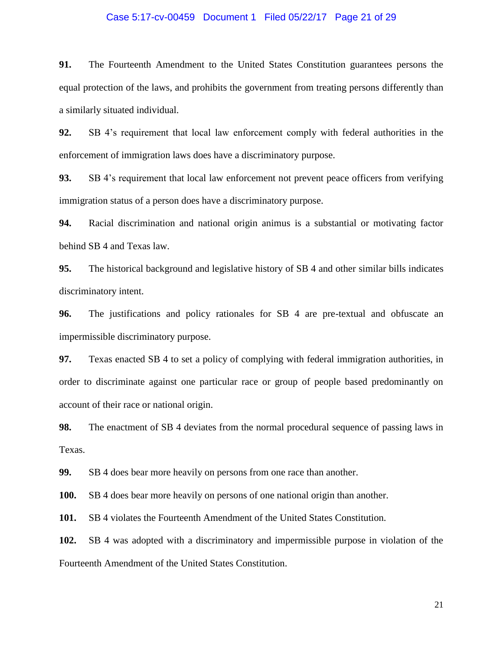### Case 5:17-cv-00459 Document 1 Filed 05/22/17 Page 21 of 29

**91.** The Fourteenth Amendment to the United States Constitution guarantees persons the equal protection of the laws, and prohibits the government from treating persons differently than a similarly situated individual.

**92.** SB 4's requirement that local law enforcement comply with federal authorities in the enforcement of immigration laws does have a discriminatory purpose.

**93.** SB 4's requirement that local law enforcement not prevent peace officers from verifying immigration status of a person does have a discriminatory purpose.

**94.** Racial discrimination and national origin animus is a substantial or motivating factor behind SB 4 and Texas law.

**95.** The historical background and legislative history of SB 4 and other similar bills indicates discriminatory intent.

**96.** The justifications and policy rationales for SB 4 are pre-textual and obfuscate an impermissible discriminatory purpose.

**97.** Texas enacted SB 4 to set a policy of complying with federal immigration authorities, in order to discriminate against one particular race or group of people based predominantly on account of their race or national origin.

**98.** The enactment of SB 4 deviates from the normal procedural sequence of passing laws in Texas.

**99.** SB 4 does bear more heavily on persons from one race than another.

**100.** SB 4 does bear more heavily on persons of one national origin than another.

**101.** SB 4 violates the Fourteenth Amendment of the United States Constitution.

**102.** SB 4 was adopted with a discriminatory and impermissible purpose in violation of the Fourteenth Amendment of the United States Constitution.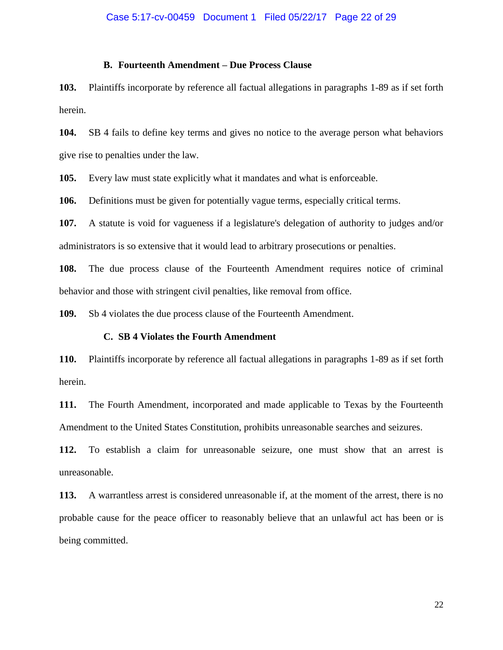## **B. Fourteenth Amendment – Due Process Clause**

**103.** Plaintiffs incorporate by reference all factual allegations in paragraphs 1-89 as if set forth herein.

**104.** SB 4 fails to define key terms and gives no notice to the average person what behaviors give rise to penalties under the law.

**105.** Every law must state explicitly what it mandates and what is enforceable.

**106.** Definitions must be given for potentially vague terms, especially critical terms.

**107.** A statute is void for vagueness if a legislature's delegation of authority to judges and/or administrators is so extensive that it would lead to arbitrary prosecutions or penalties.

**108.** The due process clause of the Fourteenth Amendment requires notice of criminal behavior and those with stringent civil penalties, like removal from office.

**109.** Sb 4 violates the due process clause of the Fourteenth Amendment.

#### **C. SB 4 Violates the Fourth Amendment**

**110.** Plaintiffs incorporate by reference all factual allegations in paragraphs 1-89 as if set forth herein.

**111.** The Fourth Amendment, incorporated and made applicable to Texas by the Fourteenth Amendment to the United States Constitution, prohibits unreasonable searches and seizures.

**112.** To establish a claim for unreasonable seizure, one must show that an arrest is unreasonable.

**113.** A warrantless arrest is considered unreasonable if, at the moment of the arrest, there is no probable cause for the peace officer to reasonably believe that an unlawful act has been or is being committed.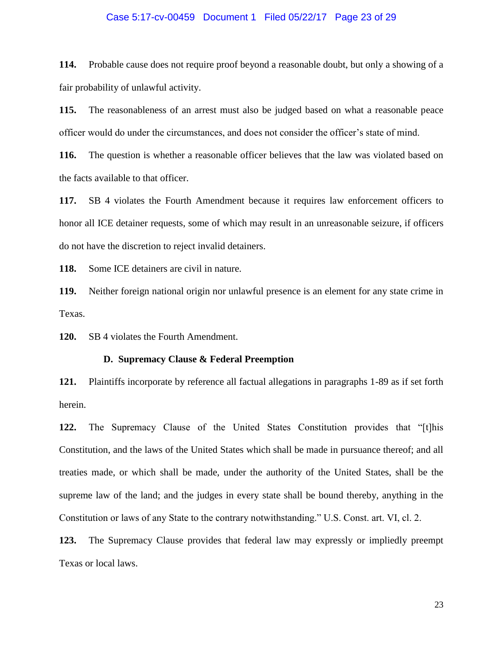### Case 5:17-cv-00459 Document 1 Filed 05/22/17 Page 23 of 29

**114.** Probable cause does not require proof beyond a reasonable doubt, but only a showing of a fair probability of unlawful activity.

**115.** The reasonableness of an arrest must also be judged based on what a reasonable peace officer would do under the circumstances, and does not consider the officer's state of mind.

**116.** The question is whether a reasonable officer believes that the law was violated based on the facts available to that officer.

**117.** SB 4 violates the Fourth Amendment because it requires law enforcement officers to honor all ICE detainer requests, some of which may result in an unreasonable seizure, if officers do not have the discretion to reject invalid detainers.

**118.** Some ICE detainers are civil in nature.

**119.** Neither foreign national origin nor unlawful presence is an element for any state crime in Texas.

**120.** SB 4 violates the Fourth Amendment.

### **D. Supremacy Clause & Federal Preemption**

**121.** Plaintiffs incorporate by reference all factual allegations in paragraphs 1-89 as if set forth herein.

**122.** The Supremacy Clause of the United States Constitution provides that "[t]his Constitution, and the laws of the United States which shall be made in pursuance thereof; and all treaties made, or which shall be made, under the authority of the United States, shall be the supreme law of the land; and the judges in every state shall be bound thereby, anything in the Constitution or laws of any State to the contrary notwithstanding." U.S. Const. art. VI, cl. 2.

**123.** The Supremacy Clause provides that federal law may expressly or impliedly preempt Texas or local laws.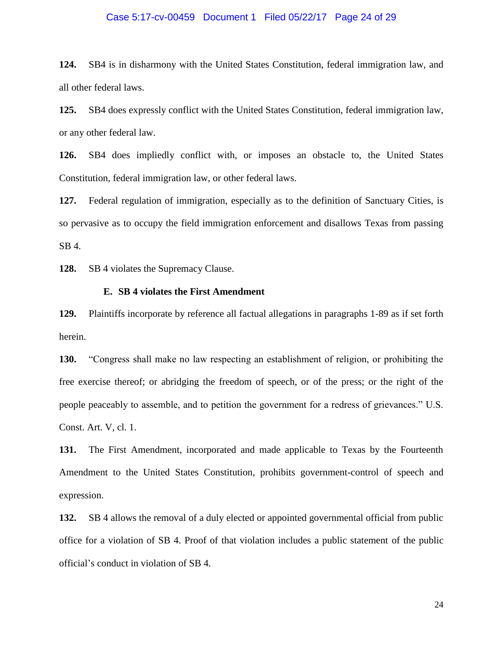# Case 5:17-cv-00459 Document 1 Filed 05/22/17 Page 24 of 29

**124.** SB4 is in disharmony with the United States Constitution, federal immigration law, and all other federal laws.

**125.** SB4 does expressly conflict with the United States Constitution, federal immigration law, or any other federal law.

**126.** SB4 does impliedly conflict with, or imposes an obstacle to, the United States Constitution, federal immigration law, or other federal laws.

**127.** Federal regulation of immigration, especially as to the definition of Sanctuary Cities, is so pervasive as to occupy the field immigration enforcement and disallows Texas from passing SB 4.

**128.** SB 4 violates the Supremacy Clause.

### **E. SB 4 violates the First Amendment**

**129.** Plaintiffs incorporate by reference all factual allegations in paragraphs 1-89 as if set forth herein.

**130.** "Congress shall make no law respecting an establishment of religion, or prohibiting the free exercise thereof; or abridging the freedom of speech, or of the press; or the right of the people peaceably to assemble, and to petition the government for a redress of grievances." U.S. Const. Art. V, cl. 1.

**131.** The First Amendment, incorporated and made applicable to Texas by the Fourteenth Amendment to the United States Constitution, prohibits government-control of speech and expression.

**132.** SB 4 allows the removal of a duly elected or appointed governmental official from public office for a violation of SB 4. Proof of that violation includes a public statement of the public official's conduct in violation of SB 4.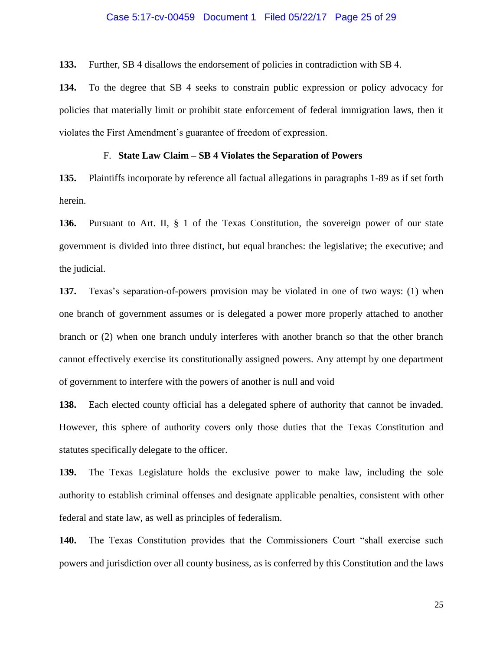#### Case 5:17-cv-00459 Document 1 Filed 05/22/17 Page 25 of 29

**133.** Further, SB 4 disallows the endorsement of policies in contradiction with SB 4.

**134.** To the degree that SB 4 seeks to constrain public expression or policy advocacy for policies that materially limit or prohibit state enforcement of federal immigration laws, then it violates the First Amendment's guarantee of freedom of expression.

#### F. **State Law Claim – SB 4 Violates the Separation of Powers**

**135.** Plaintiffs incorporate by reference all factual allegations in paragraphs 1-89 as if set forth herein.

**136.** Pursuant to Art. II, § 1 of the Texas Constitution, the sovereign power of our state government is divided into three distinct, but equal branches: the legislative; the executive; and the judicial.

**137.** Texas's separation-of-powers provision may be violated in one of two ways: (1) when one branch of government assumes or is delegated a power more properly attached to another branch or (2) when one branch unduly interferes with another branch so that the other branch cannot effectively exercise its constitutionally assigned powers. Any attempt by one department of government to interfere with the powers of another is null and void

**138.** Each elected county official has a delegated sphere of authority that cannot be invaded. However, this sphere of authority covers only those duties that the Texas Constitution and statutes specifically delegate to the officer.

**139.** The Texas Legislature holds the exclusive power to make law, including the sole authority to establish criminal offenses and designate applicable penalties, consistent with other federal and state law, as well as principles of federalism.

**140.** The Texas Constitution provides that the Commissioners Court "shall exercise such powers and jurisdiction over all county business, as is conferred by this Constitution and the laws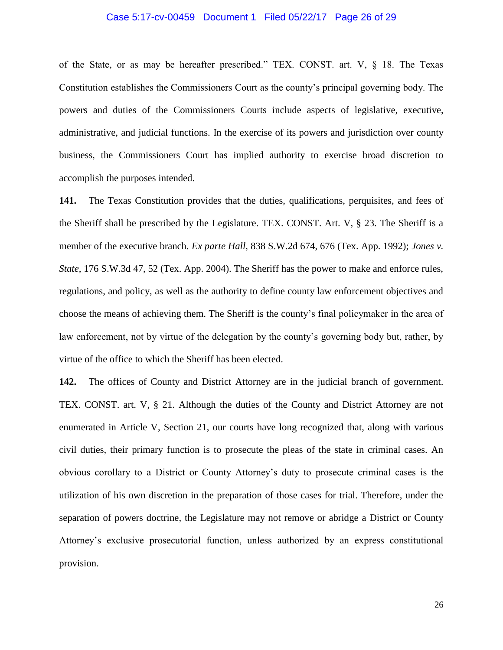#### Case 5:17-cv-00459 Document 1 Filed 05/22/17 Page 26 of 29

of the State, or as may be hereafter prescribed." TEX. CONST. art. V, § 18. The Texas Constitution establishes the Commissioners Court as the county's principal governing body. The powers and duties of the Commissioners Courts include aspects of legislative, executive, administrative, and judicial functions. In the exercise of its powers and jurisdiction over county business, the Commissioners Court has implied authority to exercise broad discretion to accomplish the purposes intended.

**141.** The Texas Constitution provides that the duties, qualifications, perquisites, and fees of the Sheriff shall be prescribed by the Legislature. TEX. CONST. Art. V, § 23. The Sheriff is a member of the executive branch. *Ex parte Hall*, 838 S.W.2d 674, 676 (Tex. App. 1992); *Jones v. State*, 176 S.W.3d 47, 52 (Tex. App. 2004). The Sheriff has the power to make and enforce rules, regulations, and policy, as well as the authority to define county law enforcement objectives and choose the means of achieving them. The Sheriff is the county's final policymaker in the area of law enforcement, not by virtue of the delegation by the county's governing body but, rather, by virtue of the office to which the Sheriff has been elected.

**142.** The offices of County and District Attorney are in the judicial branch of government. TEX. CONST. art. V, § 21. Although the duties of the County and District Attorney are not enumerated in Article V, Section 21, our courts have long recognized that, along with various civil duties, their primary function is to prosecute the pleas of the state in criminal cases. An obvious corollary to a District or County Attorney's duty to prosecute criminal cases is the utilization of his own discretion in the preparation of those cases for trial. Therefore, under the separation of powers doctrine, the Legislature may not remove or abridge a District or County Attorney's exclusive prosecutorial function, unless authorized by an express constitutional provision.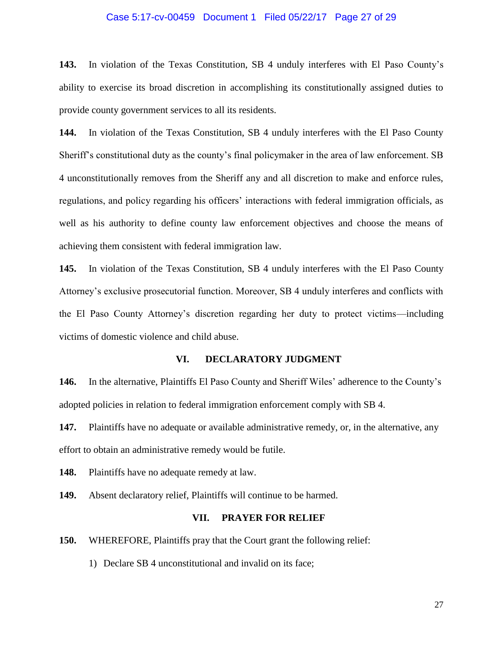### Case 5:17-cv-00459 Document 1 Filed 05/22/17 Page 27 of 29

**143.** In violation of the Texas Constitution, SB 4 unduly interferes with El Paso County's ability to exercise its broad discretion in accomplishing its constitutionally assigned duties to provide county government services to all its residents.

**144.** In violation of the Texas Constitution, SB 4 unduly interferes with the El Paso County Sheriff's constitutional duty as the county's final policymaker in the area of law enforcement. SB 4 unconstitutionally removes from the Sheriff any and all discretion to make and enforce rules, regulations, and policy regarding his officers' interactions with federal immigration officials, as well as his authority to define county law enforcement objectives and choose the means of achieving them consistent with federal immigration law.

**145.** In violation of the Texas Constitution, SB 4 unduly interferes with the El Paso County Attorney's exclusive prosecutorial function. Moreover, SB 4 unduly interferes and conflicts with the El Paso County Attorney's discretion regarding her duty to protect victims—including victims of domestic violence and child abuse.

### **VI. DECLARATORY JUDGMENT**

**146.** In the alternative, Plaintiffs El Paso County and Sheriff Wiles' adherence to the County's adopted policies in relation to federal immigration enforcement comply with SB 4.

**147.** Plaintiffs have no adequate or available administrative remedy, or, in the alternative, any effort to obtain an administrative remedy would be futile.

**148.** Plaintiffs have no adequate remedy at law.

**149.** Absent declaratory relief, Plaintiffs will continue to be harmed.

#### **VII. PRAYER FOR RELIEF**

**150.** WHEREFORE, Plaintiffs pray that the Court grant the following relief:

1) Declare SB 4 unconstitutional and invalid on its face;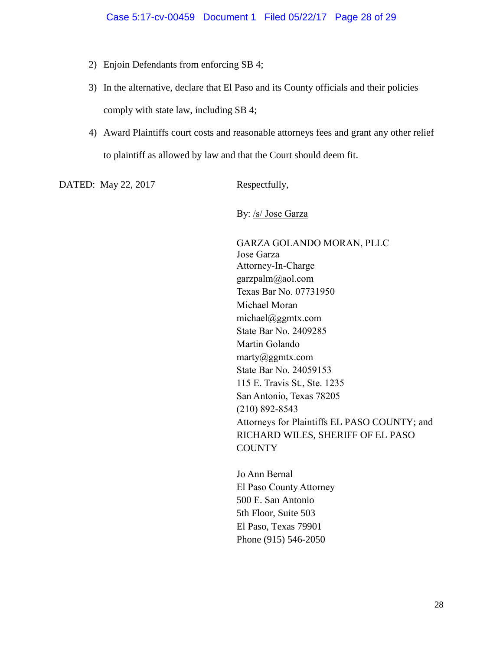- 2) Enjoin Defendants from enforcing SB 4;
- 3) In the alternative, declare that El Paso and its County officials and their policies comply with state law, including SB 4;
- 4) Award Plaintiffs court costs and reasonable attorneys fees and grant any other relief to plaintiff as allowed by law and that the Court should deem fit.

DATED: May 22, 2017 Respectfully,

By: /s/ Jose Garza

GARZA GOLANDO MORAN, PLLC Jose Garza Attorney-In-Charge garzpalm@aol.com Texas Bar No. 07731950 Michael Moran michael@ggmtx.com State Bar No. 2409285 Martin Golando marty@ggmtx.com State Bar No. 24059153 115 E. Travis St., Ste. 1235 San Antonio, Texas 78205 (210) 892-8543 Attorneys for Plaintiffs EL PASO COUNTY; and RICHARD WILES, SHERIFF OF EL PASO **COUNTY** 

Jo Ann Bernal El Paso County Attorney 500 E. San Antonio 5th Floor, Suite 503 El Paso, Texas 79901 Phone (915) 546-2050